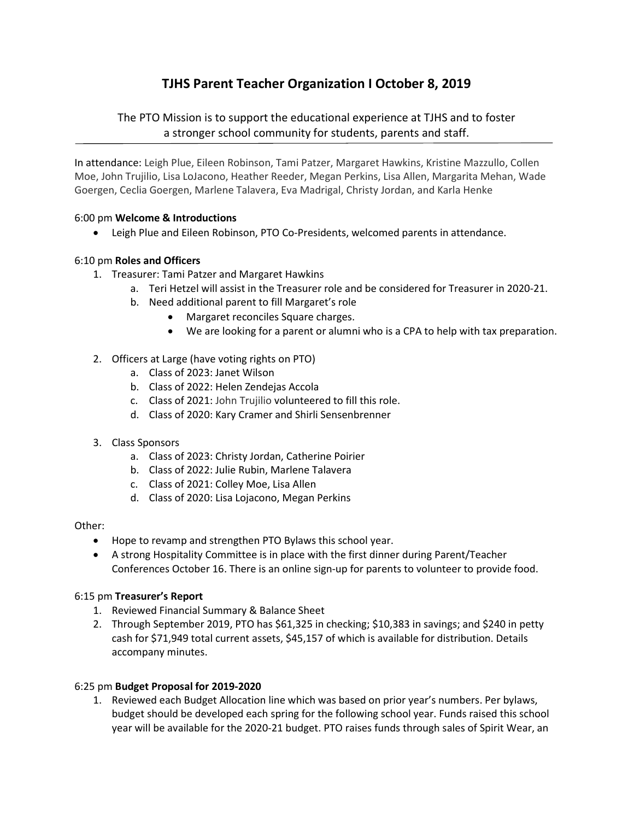# TJHS Parent Teacher Organization I October 8, 2019

# The PTO Mission is to support the educational experience at TJHS and to foster a stronger school community for students, parents and staff.

In attendance: Leigh Plue, Eileen Robinson, Tami Patzer, Margaret Hawkins, Kristine Mazzullo, Collen Moe, John Trujilio, Lisa LoJacono, Heather Reeder, Megan Perkins, Lisa Allen, Margarita Mehan, Wade Goergen, Ceclia Goergen, Marlene Talavera, Eva Madrigal, Christy Jordan, and Karla Henke

# 6:00 pm Welcome & Introductions

Leigh Plue and Eileen Robinson, PTO Co-Presidents, welcomed parents in attendance.

# 6:10 pm Roles and Officers

- 1. Treasurer: Tami Patzer and Margaret Hawkins
	- a. Teri Hetzel will assist in the Treasurer role and be considered for Treasurer in 2020-21.
	- b. Need additional parent to fill Margaret's role
		- Margaret reconciles Square charges.
		- We are looking for a parent or alumni who is a CPA to help with tax preparation.

# 2. Officers at Large (have voting rights on PTO)

- a. Class of 2023: Janet Wilson
- b. Class of 2022: Helen Zendejas Accola
- c. Class of 2021: John Trujilio volunteered to fill this role.
- d. Class of 2020: Kary Cramer and Shirli Sensenbrenner
- 3. Class Sponsors
	- a. Class of 2023: Christy Jordan, Catherine Poirier
	- b. Class of 2022: Julie Rubin, Marlene Talavera
	- c. Class of 2021: Colley Moe, Lisa Allen
	- d. Class of 2020: Lisa Lojacono, Megan Perkins

#### Other:

- Hope to revamp and strengthen PTO Bylaws this school year.
- A strong Hospitality Committee is in place with the first dinner during Parent/Teacher Conferences October 16. There is an online sign-up for parents to volunteer to provide food.

#### 6:15 pm Treasurer's Report

- 1. Reviewed Financial Summary & Balance Sheet
- 2. Through September 2019, PTO has \$61,325 in checking; \$10,383 in savings; and \$240 in petty cash for \$71,949 total current assets, \$45,157 of which is available for distribution. Details accompany minutes.

#### 6:25 pm Budget Proposal for 2019-2020

1. Reviewed each Budget Allocation line which was based on prior year's numbers. Per bylaws, budget should be developed each spring for the following school year. Funds raised this school year will be available for the 2020-21 budget. PTO raises funds through sales of Spirit Wear, an